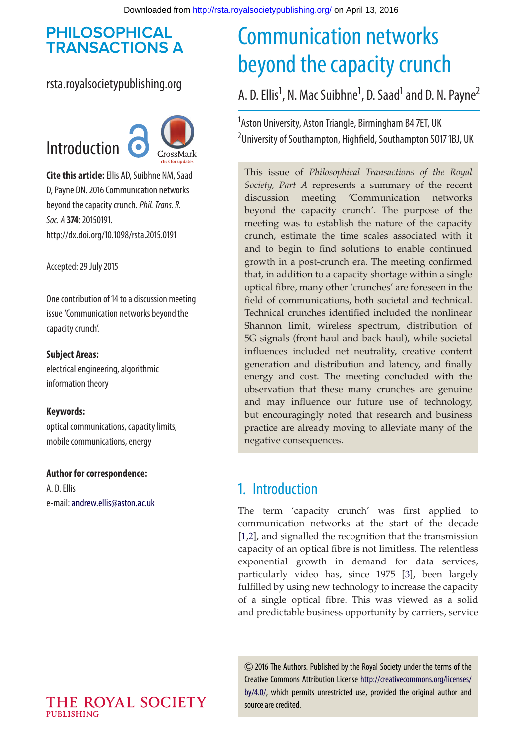# **PHILOSOPHICAL TRANSACTIONS A**

## rsta.royalsocietypublishing.org



**Cite this article:**Ellis AD, Suibhne NM, Saad D, Payne DN. 2016 Communication networks beyond the capacity crunch.*Phil. Trans. R. Soc. A* **374**: 20150191. http://dx.doi.org/10.1098/rsta.2015.0191

Accepted: 29 July 2015

One contribution of 14 to a discussion meeting issue 'Communication networks beyond the capacity crunch'.

#### **Subject Areas:**

electrical engineering, algorithmic information theory

#### **Keywords:**

optical communications, capacity limits, mobile communications, energy

#### **Author for correspondence:**

A. D. Ellis e-mail:[andrew.ellis@aston.ac.uk](mailto:andrew.ellis@aston.ac.uk)

# Communication networks beyond the capacity crunch

A. D. Ellis<sup>1</sup>, N. Mac Suibhne<sup>1</sup>, D. Saad<sup>1</sup> and D. N. Payne<sup>2</sup>

<sup>1</sup>Aston University, Aston Triangle, Birmingham B4 7ET, UK 2 University of Southampton, Highfield, Southampton SO17 1BJ, UK

This issue of *Philosophical Transactions of the Royal Society, Part A* represents a summary of the recent discussion meeting 'Communication networks beyond the capacity crunch'. The purpose of the meeting was to establish the nature of the capacity crunch, estimate the time scales associated with it and to begin to find solutions to enable continued growth in a post-crunch era. The meeting confirmed that, in addition to a capacity shortage within a single optical fibre, many other 'crunches' are foreseen in the field of communications, both societal and technical. Technical crunches identified included the nonlinear Shannon limit, wireless spectrum, distribution of 5G signals (front haul and back haul), while societal influences included net neutrality, creative content generation and distribution and latency, and finally energy and cost. The meeting concluded with the observation that these many crunches are genuine and may influence our future use of technology, but encouragingly noted that research and business practice are already moving to alleviate many of the negative consequences.

# 1. Introduction

The term 'capacity crunch' was first applied to communication networks at the start of the decade [\[1,](#page-9-0)[2\]](#page-9-1), and signalled the recognition that the transmission capacity of an optical fibre is not limitless. The relentless exponential growth in demand for data services, particularly video has, since 1975 [\[3\]](#page-9-2), been largely fulfilled by using new technology to increase the capacity of a single optical fibre. This was viewed as a solid and predictable business opportunity by carriers, service

2016 The Authors. Published by the Royal Society under the terms of the Creative Commons Attribution License [http://creativecommons.org/licenses/](http://creativecommons.org/licenses/by/4.0/) [by/4.0/,](http://creativecommons.org/licenses/by/4.0/) which permits unrestricted use, provided the original author and source are credited.

#### THE ROYAL SOCIETY **PUBLISHING**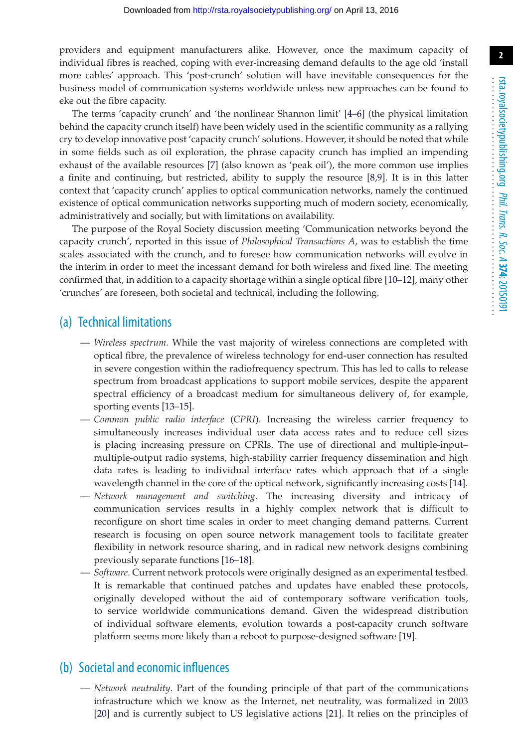providers and equipment manufacturers alike. However, once the maximum capacity of individual fibres is reached, coping with ever-increasing demand defaults to the age old 'install more cables' approach. This 'post-crunch' solution will have inevitable consequences for the business model of communication systems worldwide unless new approaches can be found to eke out the fibre capacity.

The terms 'capacity crunch' and 'the nonlinear Shannon limit' [\[4](#page-9-3)[–6\]](#page-9-4) (the physical limitation behind the capacity crunch itself) have been widely used in the scientific community as a rallying cry to develop innovative post 'capacity crunch' solutions. However, it should be noted that while in some fields such as oil exploration, the phrase capacity crunch has implied an impending exhaust of the available resources [\[7\]](#page-9-5) (also known as 'peak oil'), the more common use implies a finite and continuing, but restricted, ability to supply the resource [\[8](#page-10-0)[,9\]](#page-10-1). It is in this latter context that 'capacity crunch' applies to optical communication networks, namely the continued existence of optical communication networks supporting much of modern society, economically, administratively and socially, but with limitations on availability.

The purpose of the Royal Society discussion meeting 'Communication networks beyond the capacity crunch', reported in this issue of *Philosophical Transactions A*, was to establish the time scales associated with the crunch, and to foresee how communication networks will evolve in the interim in order to meet the incessant demand for both wireless and fixed line. The meeting confirmed that, in addition to a capacity shortage within a single optical fibre [\[10–](#page-10-2)[12\]](#page-10-3), many other 'crunches' are foreseen, both societal and technical, including the following.

#### (a) Technical limitations

- *Wireless spectrum*. While the vast majority of wireless connections are completed with optical fibre, the prevalence of wireless technology for end-user connection has resulted in severe congestion within the radiofrequency spectrum. This has led to calls to release spectrum from broadcast applications to support mobile services, despite the apparent spectral efficiency of a broadcast medium for simultaneous delivery of, for example, sporting events [\[13](#page-10-4)[–15\]](#page-10-5).
- *Common public radio interface* (*CPRI*). Increasing the wireless carrier frequency to simultaneously increases individual user data access rates and to reduce cell sizes is placing increasing pressure on CPRIs. The use of directional and multiple-input– multiple-output radio systems, high-stability carrier frequency dissemination and high data rates is leading to individual interface rates which approach that of a single wavelength channel in the core of the optical network, significantly increasing costs [\[14\]](#page-10-6).
- *Network management and switching*. The increasing diversity and intricacy of communication services results in a highly complex network that is difficult to reconfigure on short time scales in order to meet changing demand patterns. Current research is focusing on open source network management tools to facilitate greater flexibility in network resource sharing, and in radical new network designs combining previously separate functions [\[16](#page-10-7)[–18\]](#page-10-8).
- *Software*. Current network protocols were originally designed as an experimental testbed. It is remarkable that continued patches and updates have enabled these protocols, originally developed without the aid of contemporary software verification tools, to service worldwide communications demand. Given the widespread distribution of individual software elements, evolution towards a post-capacity crunch software platform seems more likely than a reboot to purpose-designed software [\[19\]](#page-10-9).

### (b) Societal and economic influences

— *Network neutrality*. Part of the founding principle of that part of the communications infrastructure which we know as the Internet, net neutrality, was formalized in 2003 [\[20\]](#page-10-10) and is currently subject to US legislative actions [\[21\]](#page-10-11). It relies on the principles of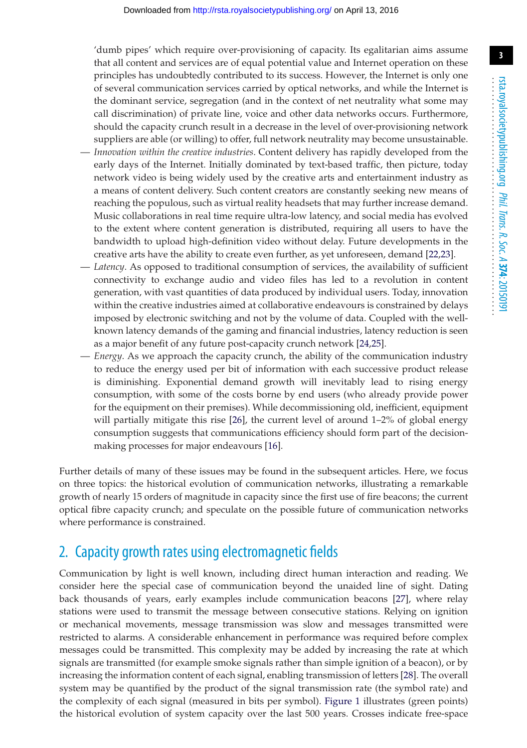'dumb pipes' which require over-provisioning of capacity. Its egalitarian aims assume that all content and services are of equal potential value and Internet operation on these principles has undoubtedly contributed to its success. However, the Internet is only one of several communication services carried by optical networks, and while the Internet is the dominant service, segregation (and in the context of net neutrality what some may call discrimination) of private line, voice and other data networks occurs. Furthermore, should the capacity crunch result in a decrease in the level of over-provisioning network suppliers are able (or willing) to offer, full network neutrality may become unsustainable.

- *Innovation within the creative industries*. Content delivery has rapidly developed from the early days of the Internet. Initially dominated by text-based traffic, then picture, today network video is being widely used by the creative arts and entertainment industry as a means of content delivery. Such content creators are constantly seeking new means of reaching the populous, such as virtual reality headsets that may further increase demand. Music collaborations in real time require ultra-low latency, and social media has evolved to the extent where content generation is distributed, requiring all users to have the bandwidth to upload high-definition video without delay. Future developments in the creative arts have the ability to create even further, as yet unforeseen, demand [\[22](#page-10-12)[,23\]](#page-10-13).
- *Latency*. As opposed to traditional consumption of services, the availability of sufficient connectivity to exchange audio and video files has led to a revolution in content generation, with vast quantities of data produced by individual users. Today, innovation within the creative industries aimed at collaborative endeavours is constrained by delays imposed by electronic switching and not by the volume of data. Coupled with the wellknown latency demands of the gaming and financial industries, latency reduction is seen as a major benefit of any future post-capacity crunch network [\[24,](#page-10-14)[25\]](#page-10-15).
- *Energy*. As we approach the capacity crunch, the ability of the communication industry to reduce the energy used per bit of information with each successive product release is diminishing. Exponential demand growth will inevitably lead to rising energy consumption, with some of the costs borne by end users (who already provide power for the equipment on their premises). While decommissioning old, inefficient, equipment will partially mitigate this rise [\[26\]](#page-10-16), the current level of around 1–2% of global energy consumption suggests that communications efficiency should form part of the decisionmaking processes for major endeavours [\[16\]](#page-10-7).

Further details of many of these issues may be found in the subsequent articles. Here, we focus on three topics: the historical evolution of communication networks, illustrating a remarkable growth of nearly 15 orders of magnitude in capacity since the first use of fire beacons; the current optical fibre capacity crunch; and speculate on the possible future of communication networks where performance is constrained.

## 2. Capacity growth rates using electromagnetic fields

Communication by light is well known, including direct human interaction and reading. We consider here the special case of communication beyond the unaided line of sight. Dating back thousands of years, early examples include communication beacons [\[27\]](#page-10-17), where relay stations were used to transmit the message between consecutive stations. Relying on ignition or mechanical movements, message transmission was slow and messages transmitted were restricted to alarms. A considerable enhancement in performance was required before complex messages could be transmitted. This complexity may be added by increasing the rate at which signals are transmitted (for example smoke signals rather than simple ignition of a beacon), or by increasing the information content of each signal, enabling transmission of letters [\[28\]](#page-10-18). The overall system may be quantified by the product of the signal transmission rate (the symbol rate) and the complexity of each signal (measured in bits per symbol). [Figure 1](#page-3-0) illustrates (green points) the historical evolution of system capacity over the last 500 years. Crosses indicate free-space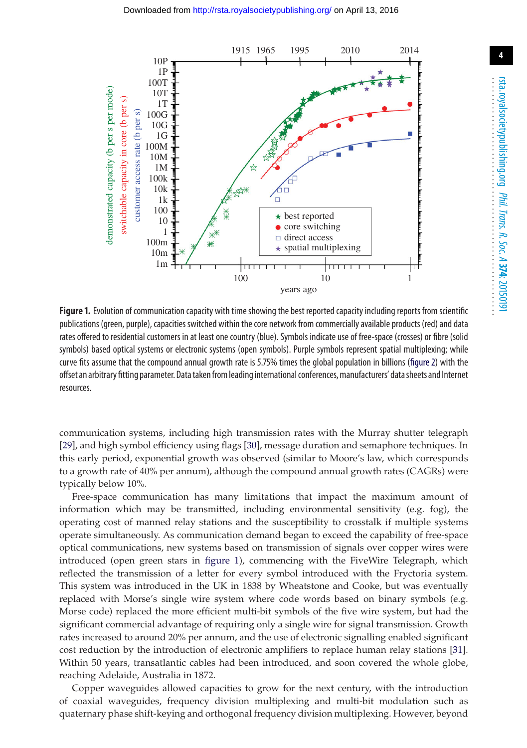

<span id="page-3-0"></span>**Figure 1.** Evolution of communication capacity with time showing the best reported capacity including reports from scientific publications (green, purple), capacities switched within the core network from commercially available products (red) and data rates offered to residential customers in at least one country (blue). Symbols indicate use of free-space (crosses) or fibre (solid symbols) based optical systems or electronic systems (open symbols). Purple symbols represent spatial multiplexing; while curve fits assume that the compound annual growth rate is 5.75% times the global population in billions [\(figure 2\)](#page-5-0) with the offset an arbitrary fitting parameter.Datatakenfrom leading international conferences,manufacturers' datasheets and Internet resources.

communication systems, including high transmission rates with the Murray shutter telegraph [\[29\]](#page-10-19), and high symbol efficiency using flags [\[30\]](#page-10-20), message duration and semaphore techniques. In this early period, exponential growth was observed (similar to Moore's law, which corresponds to a growth rate of 40% per annum), although the compound annual growth rates (CAGRs) were typically below 10%.

Free-space communication has many limitations that impact the maximum amount of information which may be transmitted, including environmental sensitivity (e.g. fog), the operating cost of manned relay stations and the susceptibility to crosstalk if multiple systems operate simultaneously. As communication demand began to exceed the capability of free-space optical communications, new systems based on transmission of signals over copper wires were introduced (open green stars in [figure 1\)](#page-3-0), commencing with the FiveWire Telegraph, which reflected the transmission of a letter for every symbol introduced with the Fryctoria system. This system was introduced in the UK in 1838 by Wheatstone and Cooke, but was eventually replaced with Morse's single wire system where code words based on binary symbols (e.g. Morse code) replaced the more efficient multi-bit symbols of the five wire system, but had the significant commercial advantage of requiring only a single wire for signal transmission. Growth rates increased to around 20% per annum, and the use of electronic signalling enabled significant cost reduction by the introduction of electronic amplifiers to replace human relay stations [\[31\]](#page-10-21). Within 50 years, transatlantic cables had been introduced, and soon covered the whole globe, reaching Adelaide, Australia in 1872.

Copper waveguides allowed capacities to grow for the next century, with the introduction of coaxial waveguides, frequency division multiplexing and multi-bit modulation such as quaternary phase shift-keying and orthogonal frequency division multiplexing. However, beyond

**4**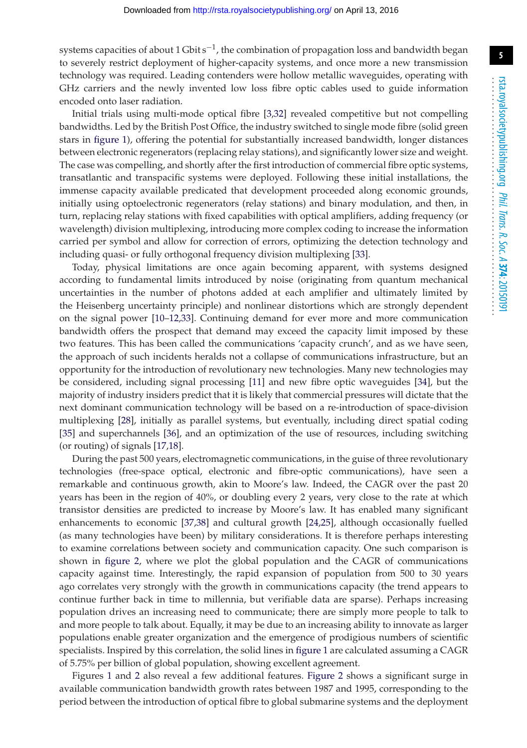systems capacities of about 1 Gbit  $s^{-1}$ , the combination of propagation loss and bandwidth began to severely restrict deployment of higher-capacity systems, and once more a new transmission technology was required. Leading contenders were hollow metallic waveguides, operating with GHz carriers and the newly invented low loss fibre optic cables used to guide information encoded onto laser radiation.

Initial trials using multi-mode optical fibre [\[3](#page-9-2)[,32\]](#page-10-22) revealed competitive but not compelling bandwidths. Led by the British Post Office, the industry switched to single mode fibre (solid green stars in [figure 1\)](#page-3-0), offering the potential for substantially increased bandwidth, longer distances between electronic regenerators (replacing relay stations), and significantly lower size and weight. The case was compelling, and shortly after the first introduction of commercial fibre optic systems, transatlantic and transpacific systems were deployed. Following these initial installations, the immense capacity available predicated that development proceeded along economic grounds, initially using optoelectronic regenerators (relay stations) and binary modulation, and then, in turn, replacing relay stations with fixed capabilities with optical amplifiers, adding frequency (or wavelength) division multiplexing, introducing more complex coding to increase the information carried per symbol and allow for correction of errors, optimizing the detection technology and including quasi- or fully orthogonal frequency division multiplexing [\[33\]](#page-10-23).

Today, physical limitations are once again becoming apparent, with systems designed according to fundamental limits introduced by noise (originating from quantum mechanical uncertainties in the number of photons added at each amplifier and ultimately limited by the Heisenberg uncertainty principle) and nonlinear distortions which are strongly dependent on the signal power [\[10](#page-10-2)[–12](#page-10-3)[,33\]](#page-10-23). Continuing demand for ever more and more communication bandwidth offers the prospect that demand may exceed the capacity limit imposed by these two features. This has been called the communications 'capacity crunch', and as we have seen, the approach of such incidents heralds not a collapse of communications infrastructure, but an opportunity for the introduction of revolutionary new technologies. Many new technologies may be considered, including signal processing [\[11\]](#page-10-24) and new fibre optic waveguides [\[34\]](#page-10-25), but the majority of industry insiders predict that it is likely that commercial pressures will dictate that the next dominant communication technology will be based on a re-introduction of space-division multiplexing [\[28\]](#page-10-18), initially as parallel systems, but eventually, including direct spatial coding [\[35\]](#page-11-0) and superchannels [\[36\]](#page-11-1), and an optimization of the use of resources, including switching (or routing) of signals [\[17,](#page-10-26)[18\]](#page-10-8).

During the past 500 years, electromagnetic communications, in the guise of three revolutionary technologies (free-space optical, electronic and fibre-optic communications), have seen a remarkable and continuous growth, akin to Moore's law. Indeed, the CAGR over the past 20 years has been in the region of 40%, or doubling every 2 years, very close to the rate at which transistor densities are predicted to increase by Moore's law. It has enabled many significant enhancements to economic [\[37,](#page-11-2)[38\]](#page-11-3) and cultural growth [\[24](#page-10-14)[,25\]](#page-10-15), although occasionally fuelled (as many technologies have been) by military considerations. It is therefore perhaps interesting to examine correlations between society and communication capacity. One such comparison is shown in [figure 2,](#page-5-0) where we plot the global population and the CAGR of communications capacity against time. Interestingly, the rapid expansion of population from 500 to 30 years ago correlates very strongly with the growth in communications capacity (the trend appears to continue further back in time to millennia, but verifiable data are sparse). Perhaps increasing population drives an increasing need to communicate; there are simply more people to talk to and more people to talk about. Equally, it may be due to an increasing ability to innovate as larger populations enable greater organization and the emergence of prodigious numbers of scientific specialists. Inspired by this correlation, the solid lines in [figure 1](#page-3-0) are calculated assuming a CAGR of 5.75% per billion of global population, showing excellent agreement.

Figures [1](#page-3-0) and [2](#page-5-0) also reveal a few additional features. [Figure 2](#page-5-0) shows a significant surge in available communication bandwidth growth rates between 1987 and 1995, corresponding to the period between the introduction of optical fibre to global submarine systems and the deployment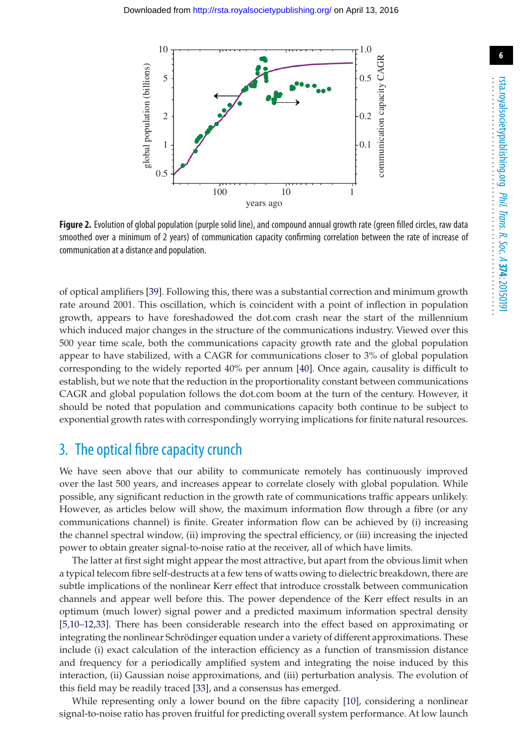

<span id="page-5-0"></span>**Figure 2.** Evolution of global population (purple solid line), and compound annual growth rate (green filled circles, raw data smoothed over a minimum of 2 years) of communication capacity confirming correlation between the rate of increase of communication at a distance and population.

of optical amplifiers [\[39\]](#page-11-4). Following this, there was a substantial correction and minimum growth rate around 2001. This oscillation, which is coincident with a point of inflection in population growth, appears to have foreshadowed the dot.com crash near the start of the millennium which induced major changes in the structure of the communications industry. Viewed over this 500 year time scale, both the communications capacity growth rate and the global population appear to have stabilized, with a CAGR for communications closer to 3% of global population corresponding to the widely reported 40% per annum [\[40\]](#page-11-5). Once again, causality is difficult to establish, but we note that the reduction in the proportionality constant between communications CAGR and global population follows the dot.com boom at the turn of the century. However, it should be noted that population and communications capacity both continue to be subject to exponential growth rates with correspondingly worrying implications for finite natural resources.

## 3. The optical fibre capacity crunch

We have seen above that our ability to communicate remotely has continuously improved over the last 500 years, and increases appear to correlate closely with global population. While possible, any significant reduction in the growth rate of communications traffic appears unlikely. However, as articles below will show, the maximum information flow through a fibre (or any communications channel) is finite. Greater information flow can be achieved by (i) increasing the channel spectral window, (ii) improving the spectral efficiency, or (iii) increasing the injected power to obtain greater signal-to-noise ratio at the receiver, all of which have limits.

The latter at first sight might appear the most attractive, but apart from the obvious limit when a typical telecom fibre self-destructs at a few tens of watts owing to dielectric breakdown, there are subtle implications of the nonlinear Kerr effect that introduce crosstalk between communication channels and appear well before this. The power dependence of the Kerr effect results in an optimum (much lower) signal power and a predicted maximum information spectral density [\[5](#page-9-6)[,10–](#page-10-2)[12,](#page-10-3)[33\]](#page-10-23). There has been considerable research into the effect based on approximating or integrating the nonlinear Schrödinger equation under a variety of different approximations. These include (i) exact calculation of the interaction efficiency as a function of transmission distance and frequency for a periodically amplified system and integrating the noise induced by this interaction, (ii) Gaussian noise approximations, and (iii) perturbation analysis. The evolution of this field may be readily traced [\[33\]](#page-10-23), and a consensus has emerged.

While representing only a lower bound on the fibre capacity [\[10\]](#page-10-2), considering a nonlinear signal-to-noise ratio has proven fruitful for predicting overall system performance. At low launch **6**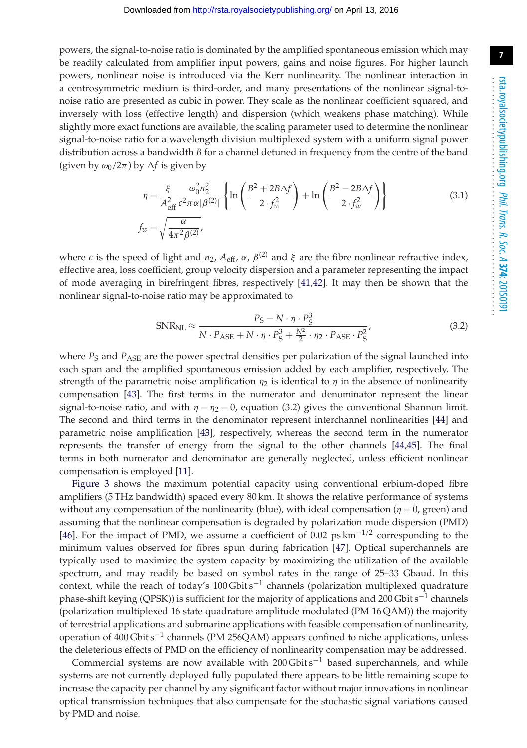powers, the signal-to-noise ratio is dominated by the amplified spontaneous emission which may be readily calculated from amplifier input powers, gains and noise figures. For higher launch powers, nonlinear noise is introduced via the Kerr nonlinearity. The nonlinear interaction in a centrosymmetric medium is third-order, and many presentations of the nonlinear signal-tonoise ratio are presented as cubic in power. They scale as the nonlinear coefficient squared, and inversely with loss (effective length) and dispersion (which weakens phase matching). While slightly more exact functions are available, the scaling parameter used to determine the nonlinear signal-to-noise ratio for a wavelength division multiplexed system with a uniform signal power distribution across a bandwidth *B* for a channel detuned in frequency from the centre of the band (given by  $\omega_0/2\pi$ ) by  $\Delta f$  is given by

$$
\eta = \frac{\xi}{A_{\text{eff}}^2} \frac{\omega_0^2 n_2^2}{c^2 \pi \alpha |\beta^{(2)}|} \left\{ \ln \left( \frac{B^2 + 2B\Delta f}{2 \cdot f_w^2} \right) + \ln \left( \frac{B^2 - 2B\Delta f}{2 \cdot f_w^2} \right) \right\}
$$
(3.1)

where *c* is the speed of light and  $n_2$ ,  $A_{\text{eff}}$ ,  $\alpha$ ,  $\beta^{(2)}$  and  $\xi$  are the fibre nonlinear refractive index, effective area, loss coefficient, group velocity dispersion and a parameter representing the impact of mode averaging in birefringent fibres, respectively [\[41,](#page-11-6)[42\]](#page-11-7). It may then be shown that the nonlinear signal-to-noise ratio may be approximated to

$$
SNR_{NL} \approx \frac{P_S - N \cdot \eta \cdot P_S^3}{N \cdot P_{ASE} + N \cdot \eta \cdot P_S^3 + \frac{N^2}{2} \cdot \eta_2 \cdot P_{ASE} \cdot P_S^2},\tag{3.2}
$$

where  $P_S$  and  $P_{\text{ASE}}$  are the power spectral densities per polarization of the signal launched into each span and the amplified spontaneous emission added by each amplifier, respectively. The strength of the parametric noise amplification  $\eta_2$  is identical to  $\eta$  in the absence of nonlinearity compensation [\[43\]](#page-11-8). The first terms in the numerator and denominator represent the linear signal-to-noise ratio, and with  $\eta = \eta_2 = 0$ , equation (3.2) gives the conventional Shannon limit. The second and third terms in the denominator represent interchannel nonlinearities [\[44\]](#page-11-9) and parametric noise amplification [\[43\]](#page-11-8), respectively, whereas the second term in the numerator represents the transfer of energy from the signal to the other channels [\[44,](#page-11-9)[45\]](#page-11-10). The final terms in both numerator and denominator are generally neglected, unless efficient nonlinear compensation is employed [\[11\]](#page-10-24).

[Figure 3](#page-7-0) shows the maximum potential capacity using conventional erbium-doped fibre amplifiers (5 THz bandwidth) spaced every 80 km. It shows the relative performance of systems without any compensation of the nonlinearity (blue), with ideal compensation ( $\eta = 0$ , green) and assuming that the nonlinear compensation is degraded by polarization mode dispersion (PMD) [\[46\]](#page-11-11). For the impact of PMD, we assume a coefficient of 0.02 ps km<sup>-1/2</sup> corresponding to the minimum values observed for fibres spun during fabrication [\[47\]](#page-11-12). Optical superchannels are typically used to maximize the system capacity by maximizing the utilization of the available spectrum, and may readily be based on symbol rates in the range of 25–33 Gbaud. In this context, while the reach of today's 100 Gbit s<sup>-1</sup> channels (polarization multiplexed quadrature phase-shift keying (QPSK)) is sufficient for the majority of applications and 200 Gbit s<sup>-1</sup> channels (polarization multiplexed 16 state quadrature amplitude modulated (PM 16 QAM)) the majority of terrestrial applications and submarine applications with feasible compensation of nonlinearity, operation of 400 Gbit s−<sup>1</sup> channels (PM 256QAM) appears confined to niche applications, unless the deleterious effects of PMD on the efficiency of nonlinearity compensation may be addressed.

Commercial systems are now available with  $200 \text{Gbits}^{-1}$  based superchannels, and while systems are not currently deployed fully populated there appears to be little remaining scope to increase the capacity per channel by any significant factor without major innovations in nonlinear optical transmission techniques that also compensate for the stochastic signal variations caused by PMD and noise.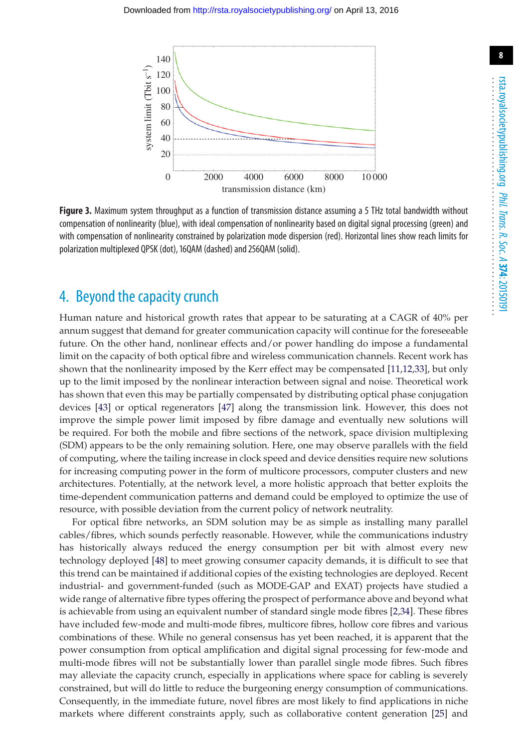

<span id="page-7-0"></span>**Figure 3.** Maximum system throughput as a function of transmission distance assuming a 5 THz total bandwidth without compensation of nonlinearity (blue), with ideal compensation of nonlinearity based on digital signal processing (green) and with compensation of nonlinearity constrained by polarization mode dispersion (red). Horizontal lines show reach limits for polarization multiplexed QPSK (dot), 16QAM (dashed) and 256QAM (solid).

# 4. Beyond the capacity crunch

 $\theta$ 

system limit (Tbit s–1)

system limit (Tbit  $s^{-1}$ )

Human nature and historical growth rates that appear to be saturating at a CAGR of 40% per annum suggest that demand for greater communication capacity will continue for the foreseeable future. On the other hand, nonlinear effects and/or power handling do impose a fundamental limit on the capacity of both optical fibre and wireless communication channels. Recent work has shown that the nonlinearity imposed by the Kerr effect may be compensated [\[11,](#page-10-24)[12](#page-10-3)[,33\]](#page-10-23), but only up to the limit imposed by the nonlinear interaction between signal and noise. Theoretical work has shown that even this may be partially compensated by distributing optical phase conjugation devices [\[43\]](#page-11-8) or optical regenerators [\[47\]](#page-11-12) along the transmission link. However, this does not improve the simple power limit imposed by fibre damage and eventually new solutions will be required. For both the mobile and fibre sections of the network, space division multiplexing (SDM) appears to be the only remaining solution. Here, one may observe parallels with the field of computing, where the tailing increase in clock speed and device densities require new solutions for increasing computing power in the form of multicore processors, computer clusters and new architectures. Potentially, at the network level, a more holistic approach that better exploits the time-dependent communication patterns and demand could be employed to optimize the use of resource, with possible deviation from the current policy of network neutrality.

For optical fibre networks, an SDM solution may be as simple as installing many parallel cables/fibres, which sounds perfectly reasonable. However, while the communications industry has historically always reduced the energy consumption per bit with almost every new technology deployed [\[48\]](#page-11-13) to meet growing consumer capacity demands, it is difficult to see that this trend can be maintained if additional copies of the existing technologies are deployed. Recent industrial- and government-funded (such as MODE-GAP and EXAT) projects have studied a wide range of alternative fibre types offering the prospect of performance above and beyond what is achievable from using an equivalent number of standard single mode fibres [\[2,](#page-9-1)[34\]](#page-10-25). These fibres have included few-mode and multi-mode fibres, multicore fibres, hollow core fibres and various combinations of these. While no general consensus has yet been reached, it is apparent that the power consumption from optical amplification and digital signal processing for few-mode and multi-mode fibres will not be substantially lower than parallel single mode fibres. Such fibres may alleviate the capacity crunch, especially in applications where space for cabling is severely constrained, but will do little to reduce the burgeoning energy consumption of communications. Consequently, in the immediate future, novel fibres are most likely to find applications in niche markets where different constraints apply, such as collaborative content generation [\[25\]](#page-10-15) and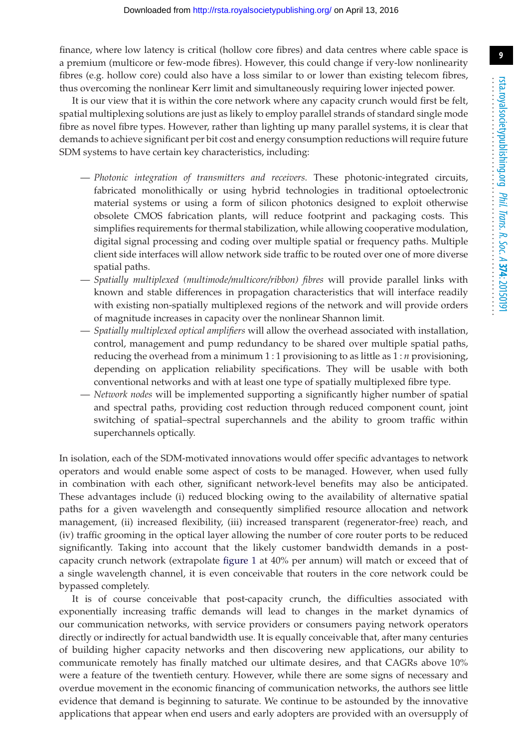finance, where low latency is critical (hollow core fibres) and data centres where cable space is a premium (multicore or few-mode fibres). However, this could change if very-low nonlinearity fibres (e.g. hollow core) could also have a loss similar to or lower than existing telecom fibres, thus overcoming the nonlinear Kerr limit and simultaneously requiring lower injected power.

It is our view that it is within the core network where any capacity crunch would first be felt, spatial multiplexing solutions are just as likely to employ parallel strands of standard single mode fibre as novel fibre types. However, rather than lighting up many parallel systems, it is clear that demands to achieve significant per bit cost and energy consumption reductions will require future SDM systems to have certain key characteristics, including:

- *Photonic integration of transmitters and receivers.* These photonic-integrated circuits, fabricated monolithically or using hybrid technologies in traditional optoelectronic material systems or using a form of silicon photonics designed to exploit otherwise obsolete CMOS fabrication plants, will reduce footprint and packaging costs. This simplifies requirements for thermal stabilization, while allowing cooperative modulation, digital signal processing and coding over multiple spatial or frequency paths. Multiple client side interfaces will allow network side traffic to be routed over one of more diverse spatial paths.
- *Spatially multiplexed (multimode/multicore/ribbon) fibres* will provide parallel links with known and stable differences in propagation characteristics that will interface readily with existing non-spatially multiplexed regions of the network and will provide orders of magnitude increases in capacity over the nonlinear Shannon limit.
- *Spatially multiplexed optical amplifiers* will allow the overhead associated with installation, control, management and pump redundancy to be shared over multiple spatial paths, reducing the overhead from a minimum 1 : 1 provisioning to as little as 1 : *n* provisioning, depending on application reliability specifications. They will be usable with both conventional networks and with at least one type of spatially multiplexed fibre type.
- *Network nodes* will be implemented supporting a significantly higher number of spatial and spectral paths, providing cost reduction through reduced component count, joint switching of spatial–spectral superchannels and the ability to groom traffic within superchannels optically.

In isolation, each of the SDM-motivated innovations would offer specific advantages to network operators and would enable some aspect of costs to be managed. However, when used fully in combination with each other, significant network-level benefits may also be anticipated. These advantages include (i) reduced blocking owing to the availability of alternative spatial paths for a given wavelength and consequently simplified resource allocation and network management, (ii) increased flexibility, (iii) increased transparent (regenerator-free) reach, and (iv) traffic grooming in the optical layer allowing the number of core router ports to be reduced significantly. Taking into account that the likely customer bandwidth demands in a postcapacity crunch network (extrapolate [figure 1](#page-3-0) at 40% per annum) will match or exceed that of a single wavelength channel, it is even conceivable that routers in the core network could be bypassed completely.

It is of course conceivable that post-capacity crunch, the difficulties associated with exponentially increasing traffic demands will lead to changes in the market dynamics of our communication networks, with service providers or consumers paying network operators directly or indirectly for actual bandwidth use. It is equally conceivable that, after many centuries of building higher capacity networks and then discovering new applications, our ability to communicate remotely has finally matched our ultimate desires, and that CAGRs above 10% were a feature of the twentieth century. However, while there are some signs of necessary and overdue movement in the economic financing of communication networks, the authors see little evidence that demand is beginning to saturate. We continue to be astounded by the innovative applications that appear when end users and early adopters are provided with an oversupply of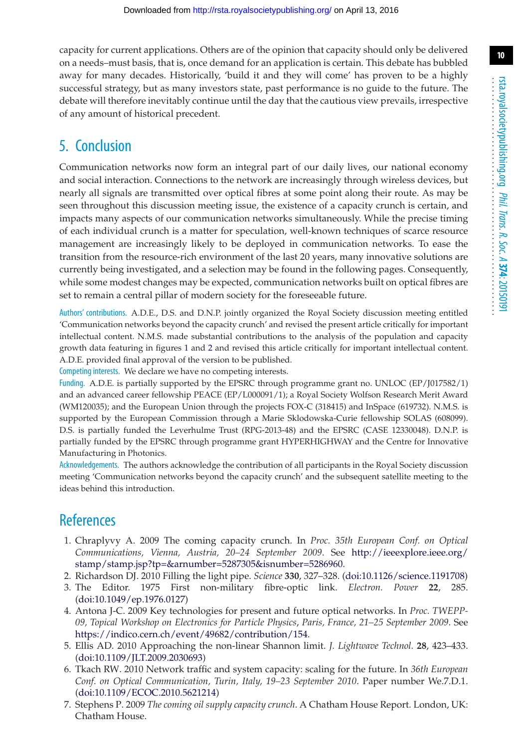capacity for current applications. Others are of the opinion that capacity should only be delivered on a needs–must basis, that is, once demand for an application is certain. This debate has bubbled away for many decades. Historically, 'build it and they will come' has proven to be a highly successful strategy, but as many investors state, past performance is no guide to the future. The debate will therefore inevitably continue until the day that the cautious view prevails, irrespective of any amount of historical precedent.

# 5. Conclusion

Communication networks now form an integral part of our daily lives, our national economy and social interaction. Connections to the network are increasingly through wireless devices, but nearly all signals are transmitted over optical fibres at some point along their route. As may be seen throughout this discussion meeting issue, the existence of a capacity crunch is certain, and impacts many aspects of our communication networks simultaneously. While the precise timing of each individual crunch is a matter for speculation, well-known techniques of scarce resource management are increasingly likely to be deployed in communication networks. To ease the transition from the resource-rich environment of the last 20 years, many innovative solutions are currently being investigated, and a selection may be found in the following pages. Consequently, while some modest changes may be expected, communication networks built on optical fibres are set to remain a central pillar of modern society for the foreseeable future.

Authors' contributions. A.D.E., D.S. and D.N.P. jointly organized the Royal Society discussion meeting entitled 'Communication networks beyond the capacity crunch' and revised the present article critically for important intellectual content. N.M.S. made substantial contributions to the analysis of the population and capacity growth data featuring in figures [1](#page-3-0) and [2](#page-5-0) and revised this article critically for important intellectual content. A.D.E. provided final approval of the version to be published.

Competing interests. We declare we have no competing interests.

Funding. A.D.E. is partially supported by the EPSRC through programme grant no. UNLOC (EP/J017582/1) and an advanced career fellowship PEACE (EP/L000091/1); a Royal Society Wolfson Research Merit Award (WM120035); and the European Union through the projects FOX-C (318415) and InSpace (619732). N.M.S. is supported by the European Commission through a Marie Sklodowska-Curie fellowship SOLAS (608099). D.S. is partially funded the Leverhulme Trust (RPG-2013-48) and the EPSRC (CASE 12330048). D.N.P. is partially funded by the EPSRC through programme grant HYPERHIGHWAY and the Centre for Innovative Manufacturing in Photonics.

Acknowledgements. The authors acknowledge the contribution of all participants in the Royal Society discussion meeting 'Communication networks beyond the capacity crunch' and the subsequent satellite meeting to the ideas behind this introduction.

# References

- <span id="page-9-0"></span>1. Chraplyvy A. 2009 The coming capacity crunch. In *Proc. 35th European Conf. on Optical Communications, Vienna, Austria, 20–24 September 2009*. See [http://ieeexplore.ieee.org/](http://ieeexplore.ieee.org/stamp/stamp.jsp?tp={\&}arnumber=5287305{\&}isnumber=5286960) [stamp/stamp.jsp?tp=&arnumber=5287305&isnumber=5286960.](http://ieeexplore.ieee.org/stamp/stamp.jsp?tp={\&}arnumber=5287305{\&}isnumber=5286960)
- <span id="page-9-2"></span><span id="page-9-1"></span>2. Richardson DJ. 2010 Filling the light pipe. *Science* **330**, 327–328. [\(doi:10.1126/science.1191708\)](http://dx.doi.org/doi:10.1126/science.1191708)
- 3. The Editor. 1975 First non-military fibre-optic link. *Electron. Power* **22**, 285. [\(doi:10.1049/ep.1976.0127\)](http://dx.doi.org/doi:10.1049/ep.1976.0127)
- <span id="page-9-3"></span>4. Antona J-C. 2009 Key technologies for present and future optical networks. In *Proc. TWEPP-09, Topical Workshop on Electronics for Particle Physics*, *Paris, France, 21–25 September 2009*. See [https://indico.cern.ch/event/49682/contribution/154.](https://indico.cern.ch/event/49682/contribution/154)
- <span id="page-9-6"></span>5. Ellis AD. 2010 Approaching the non-linear Shannon limit. *J. Lightwave Technol.* **28**, 423–433. [\(doi:10.1109/JLT.2009.2030693\)](http://dx.doi.org/doi:10.1109/JLT.2009.2030693)
- <span id="page-9-4"></span>6. Tkach RW. 2010 Network traffic and system capacity: scaling for the future. In *36th European Conf. on Optical Communication, Turin, Italy, 19–23 September 2010*. Paper number We.7.D.1. [\(doi:10.1109/ECOC.2010.5621214\)](http://dx.doi.org/doi:10.1109/ECOC.2010.5621214)
- <span id="page-9-5"></span>7. Stephens P. 2009 *The coming oil supply capacity crunch*. A Chatham House Report. London, UK: Chatham House.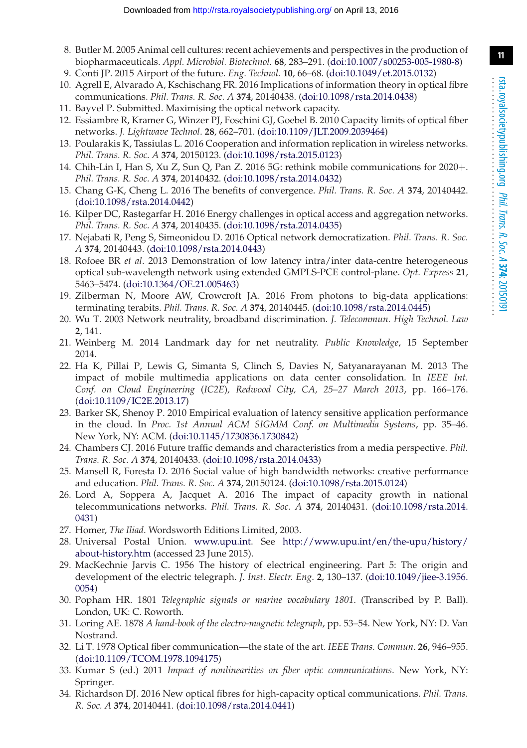- <span id="page-10-0"></span>8. Butler M. 2005 Animal cell cultures: recent achievements and perspectives in the production of biopharmaceuticals. *Appl. Microbiol. Biotechnol.* **68**, 283–291. [\(doi:10.1007/s00253-005-1980-8\)](http://dx.doi.org/doi:10.1007/s00253-005-1980-8)
- <span id="page-10-2"></span><span id="page-10-1"></span>9. Conti JP. 2015 Airport of the future. *Eng. Technol.* **10**, 66–68. [\(doi:10.1049/et.2015.0132\)](http://dx.doi.org/doi:10.1049/et.2015.0132)
- 10. Agrell E, Alvarado A, Kschischang FR. 2016 Implications of information theory in optical fibre communications. *Phil. Trans. R. Soc. A* **374**, 20140438. [\(doi:10.1098/rsta.2014.0438\)](http://dx.doi.org/doi:10.1098/rsta.2014.0438)
- <span id="page-10-24"></span><span id="page-10-3"></span>11. Bayvel P. Submitted. Maximising the optical network capacity.
- 12. Essiambre R, Kramer G, Winzer PJ, Foschini GJ, Goebel B. 2010 Capacity limits of optical fiber networks. *J. Lightwave Technol*. **28**, 662–701. [\(doi:10.1109/JLT.2009.2039464\)](http://dx.doi.org/doi:10.1109/JLT.2009.2039464)
- <span id="page-10-4"></span>13. Poularakis K, Tassiulas L. 2016 Cooperation and information replication in wireless networks. *Phil. Trans. R. Soc. A* **374**, 20150123. [\(doi:10.1098/rsta.2015.0123\)](http://dx.doi.org/doi:10.1098/rsta.2015.0123)
- <span id="page-10-6"></span>14. Chih-Lin I, Han S, Xu Z, Sun Q, Pan Z. 2016 5G: rethink mobile communications for 2020+. *Phil. Trans. R. Soc. A* **374**, 20140432. [\(doi:10.1098/rsta.2014.0432\)](http://dx.doi.org/doi:10.1098/rsta.2014.0432)
- <span id="page-10-5"></span>15. Chang G-K, Cheng L. 2016 The benefits of convergence. *Phil. Trans. R. Soc. A* **374**, 20140442. [\(doi:10.1098/rsta.2014.0442\)](http://dx.doi.org/doi:10.1098/rsta.2014.0442)
- <span id="page-10-7"></span>16. Kilper DC, Rastegarfar H. 2016 Energy challenges in optical access and aggregation networks. *Phil. Trans. R. Soc. A* **374**, 20140435. [\(doi:10.1098/rsta.2014.0435\)](http://dx.doi.org/doi:10.1098/rsta.2014.0435)
- <span id="page-10-26"></span>17. Nejabati R, Peng S, Simeonidou D. 2016 Optical network democratization. *Phil. Trans. R. Soc. A* **374**, 20140443. [\(doi:10.1098/rsta.2014.0443\)](http://dx.doi.org/doi:10.1098/rsta.2014.0443)
- <span id="page-10-8"></span>18. Rofoee BR *et al*. 2013 Demonstration of low latency intra/inter data-centre heterogeneous optical sub-wavelength network using extended GMPLS-PCE control-plane. *Opt. Express* **21**, 5463–5474. [\(doi:10.1364/OE.21.005463\)](http://dx.doi.org/doi:10.1364/OE.21.005463)
- <span id="page-10-9"></span>19. Zilberman N, Moore AW, Crowcroft JA. 2016 From photons to big-data applications: terminating terabits. *Phil. Trans. R. Soc. A* **374**, 20140445. [\(doi:10.1098/rsta.2014.0445\)](http://dx.doi.org/doi:10.1098/rsta.2014.0445)
- <span id="page-10-10"></span>20. Wu T. 2003 Network neutrality, broadband discrimination. *J. Telecommun. High Technol. Law* **2**, 141.
- <span id="page-10-11"></span>21. Weinberg M. 2014 Landmark day for net neutrality. *Public Knowledge*, 15 September 2014.
- <span id="page-10-12"></span>22. Ha K, Pillai P, Lewis G, Simanta S, Clinch S, Davies N, Satyanarayanan M. 2013 The impact of mobile multimedia applications on data center consolidation. In *IEEE Int. Conf. on Cloud Engineering* (*IC2E*)*, Redwood City, CA, 25–27 March 2013*, pp. 166–176. [\(doi:10.1109/IC2E.2013.17\)](http://dx.doi.org/doi:10.1109/IC2E.2013.17)
- <span id="page-10-13"></span>23. Barker SK, Shenoy P. 2010 Empirical evaluation of latency sensitive application performance in the cloud. In *Proc. 1st Annual ACM SIGMM Conf. on Multimedia Systems*, pp. 35–46. New York, NY: ACM. [\(doi:10.1145/1730836.1730842\)](http://dx.doi.org/doi:10.1145/1730836.1730842)
- <span id="page-10-14"></span>24. Chambers CJ. 2016 Future traffic demands and characteristics from a media perspective. *Phil. Trans. R. Soc. A* **374**, 20140433. [\(doi:10.1098/rsta.2014.0433\)](http://dx.doi.org/doi:10.1098/rsta.2014.0433)
- <span id="page-10-15"></span>25. Mansell R, Foresta D. 2016 Social value of high bandwidth networks: creative performance and education. *Phil. Trans. R. Soc. A* **374**, 20150124. [\(doi:10.1098/rsta.2015.0124\)](http://dx.doi.org/doi:10.1098/rsta.2015.0124)
- <span id="page-10-16"></span>26. Lord A, Soppera A, Jacquet A. 2016 The impact of capacity growth in national telecommunications networks. *Phil. Trans. R. Soc. A* **374**, 20140431. [\(doi:10.1098/rsta.2014.](http://dx.doi.org/doi:10.1098/rsta.2014.0431) [0431\)](http://dx.doi.org/doi:10.1098/rsta.2014.0431)
- <span id="page-10-18"></span><span id="page-10-17"></span>27. Homer, *The Iliad*. Wordsworth Editions Limited, 2003.
- 28. Universal Postal Union. [www.upu.int.](file:www.upu.int) See [http://www.upu.int/en/the-upu/history/](http://www.upu.int/en/the-upu/history/about-history.htm) [about-history.htm](http://www.upu.int/en/the-upu/history/about-history.htm) (accessed 23 June 2015).
- <span id="page-10-19"></span>29. MacKechnie Jarvis C. 1956 The history of electrical engineering. Part 5: The origin and development of the electric telegraph. *J. Inst. Electr. Eng*. **2**, 130–137. [\(doi:10.1049/jiee-3.1956.](http://dx.doi.org/doi:10.1049/jiee-3.1956.0054) [0054\)](http://dx.doi.org/doi:10.1049/jiee-3.1956.0054)
- <span id="page-10-20"></span>30. Popham HR. 1801 *Telegraphic signals or marine vocabulary 1801*. (Transcribed by P. Ball). London, UK: C. Roworth.
- <span id="page-10-21"></span>31. Loring AE. 1878 *A hand-book of the electro-magnetic telegraph*, pp. 53–54. New York, NY: D. Van Nostrand.
- <span id="page-10-22"></span>32. Li T. 1978 Optical fiber communication—the state of the art. *IEEE Trans. Commun*. **26**, 946–955. [\(doi:10.1109/TCOM.1978.1094175\)](http://dx.doi.org/doi:10.1109/TCOM.1978.1094175)
- <span id="page-10-23"></span>33. Kumar S (ed.) 2011 *Impact of nonlinearities on fiber optic communications*. New York, NY: Springer.
- <span id="page-10-25"></span>34. Richardson DJ. 2016 New optical fibres for high-capacity optical communications. *Phil. Trans. R. Soc. A* **374**, 20140441. [\(doi:10.1098/rsta.2014.0441\)](http://dx.doi.org/doi:10.1098/rsta.2014.0441)